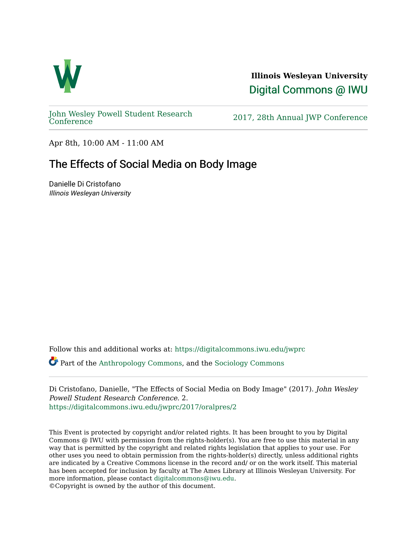

**Illinois Wesleyan University**  [Digital Commons @ IWU](https://digitalcommons.iwu.edu/) 

[John Wesley Powell Student Research](https://digitalcommons.iwu.edu/jwprc) 

2017, 28th Annual JWP [Conference](https://digitalcommons.iwu.edu/jwprc)

Apr 8th, 10:00 AM - 11:00 AM

## The Effects of Social Media on Body Image

Danielle Di Cristofano Illinois Wesleyan University

Follow this and additional works at: [https://digitalcommons.iwu.edu/jwprc](https://digitalcommons.iwu.edu/jwprc?utm_source=digitalcommons.iwu.edu%2Fjwprc%2F2017%2Foralpres%2F2&utm_medium=PDF&utm_campaign=PDFCoverPages) 

Part of the [Anthropology Commons](http://network.bepress.com/hgg/discipline/318?utm_source=digitalcommons.iwu.edu%2Fjwprc%2F2017%2Foralpres%2F2&utm_medium=PDF&utm_campaign=PDFCoverPages), and the [Sociology Commons](http://network.bepress.com/hgg/discipline/416?utm_source=digitalcommons.iwu.edu%2Fjwprc%2F2017%2Foralpres%2F2&utm_medium=PDF&utm_campaign=PDFCoverPages) 

Di Cristofano, Danielle, "The Effects of Social Media on Body Image" (2017). John Wesley Powell Student Research Conference. 2. [https://digitalcommons.iwu.edu/jwprc/2017/oralpres/2](https://digitalcommons.iwu.edu/jwprc/2017/oralpres/2?utm_source=digitalcommons.iwu.edu%2Fjwprc%2F2017%2Foralpres%2F2&utm_medium=PDF&utm_campaign=PDFCoverPages) 

This Event is protected by copyright and/or related rights. It has been brought to you by Digital Commons @ IWU with permission from the rights-holder(s). You are free to use this material in any way that is permitted by the copyright and related rights legislation that applies to your use. For other uses you need to obtain permission from the rights-holder(s) directly, unless additional rights are indicated by a Creative Commons license in the record and/ or on the work itself. This material has been accepted for inclusion by faculty at The Ames Library at Illinois Wesleyan University. For more information, please contact [digitalcommons@iwu.edu](mailto:digitalcommons@iwu.edu). ©Copyright is owned by the author of this document.